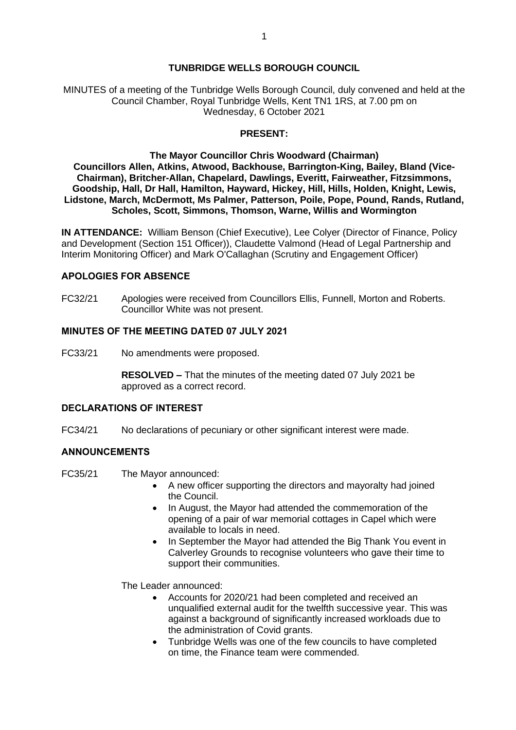### **TUNBRIDGE WELLS BOROUGH COUNCIL**

MINUTES of a meeting of the Tunbridge Wells Borough Council, duly convened and held at the Council Chamber, Royal Tunbridge Wells, Kent TN1 1RS, at 7.00 pm on Wednesday, 6 October 2021

### **PRESENT:**

**The Mayor Councillor Chris Woodward (Chairman) Councillors Allen, Atkins, Atwood, Backhouse, Barrington-King, Bailey, Bland (Vice-Chairman), Britcher-Allan, Chapelard, Dawlings, Everitt, Fairweather, Fitzsimmons, Goodship, Hall, Dr Hall, Hamilton, Hayward, Hickey, Hill, Hills, Holden, Knight, Lewis, Lidstone, March, McDermott, Ms Palmer, Patterson, Poile, Pope, Pound, Rands, Rutland, Scholes, Scott, Simmons, Thomson, Warne, Willis and Wormington**

**IN ATTENDANCE:** William Benson (Chief Executive), Lee Colyer (Director of Finance, Policy and Development (Section 151 Officer)), Claudette Valmond (Head of Legal Partnership and Interim Monitoring Officer) and Mark O'Callaghan (Scrutiny and Engagement Officer)

### **APOLOGIES FOR ABSENCE**

FC32/21 Apologies were received from Councillors Ellis, Funnell, Morton and Roberts. Councillor White was not present.

### **MINUTES OF THE MEETING DATED 07 JULY 2021**

FC33/21 No amendments were proposed.

**RESOLVED –** That the minutes of the meeting dated 07 July 2021 be approved as a correct record.

### **DECLARATIONS OF INTEREST**

FC34/21 No declarations of pecuniary or other significant interest were made.

#### **ANNOUNCEMENTS**

- FC35/21 The Mayor announced:
	- A new officer supporting the directors and mayoralty had joined the Council.
	- In August, the Mayor had attended the commemoration of the opening of a pair of war memorial cottages in Capel which were available to locals in need.
	- In September the Mayor had attended the Big Thank You event in Calverley Grounds to recognise volunteers who gave their time to support their communities.

The Leader announced:

- Accounts for 2020/21 had been completed and received an unqualified external audit for the twelfth successive year. This was against a background of significantly increased workloads due to the administration of Covid grants.
- Tunbridge Wells was one of the few councils to have completed on time, the Finance team were commended.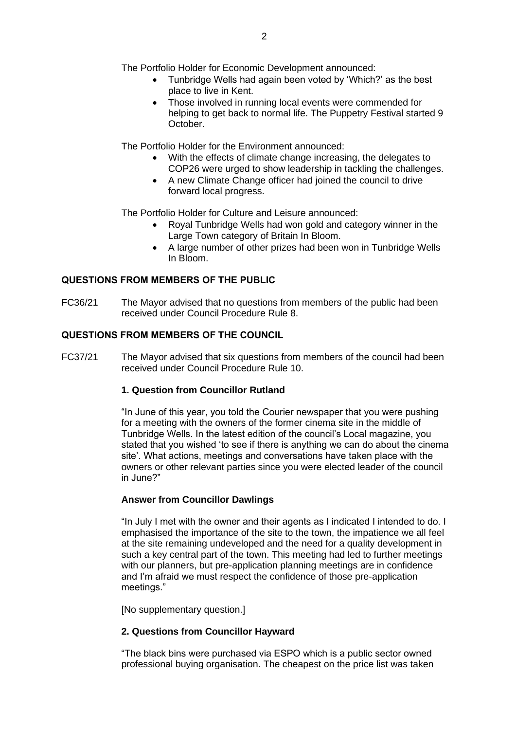The Portfolio Holder for Economic Development announced:

- Tunbridge Wells had again been voted by 'Which?' as the best place to live in Kent.
- Those involved in running local events were commended for helping to get back to normal life. The Puppetry Festival started 9 October.

The Portfolio Holder for the Environment announced:

- With the effects of climate change increasing, the delegates to COP26 were urged to show leadership in tackling the challenges.
- A new Climate Change officer had joined the council to drive forward local progress.

The Portfolio Holder for Culture and Leisure announced:

- Royal Tunbridge Wells had won gold and category winner in the Large Town category of Britain In Bloom.
- A large number of other prizes had been won in Tunbridge Wells In Bloom.

## **QUESTIONS FROM MEMBERS OF THE PUBLIC**

FC36/21 The Mayor advised that no questions from members of the public had been received under Council Procedure Rule 8.

### **QUESTIONS FROM MEMBERS OF THE COUNCIL**

FC37/21 The Mayor advised that six questions from members of the council had been received under Council Procedure Rule 10.

#### **1. Question from Councillor Rutland**

"In June of this year, you told the Courier newspaper that you were pushing for a meeting with the owners of the former cinema site in the middle of Tunbridge Wells. In the latest edition of the council's Local magazine, you stated that you wished 'to see if there is anything we can do about the cinema site'. What actions, meetings and conversations have taken place with the owners or other relevant parties since you were elected leader of the council in June?"

#### **Answer from Councillor Dawlings**

"In July I met with the owner and their agents as I indicated I intended to do. I emphasised the importance of the site to the town, the impatience we all feel at the site remaining undeveloped and the need for a quality development in such a key central part of the town. This meeting had led to further meetings with our planners, but pre-application planning meetings are in confidence and I'm afraid we must respect the confidence of those pre-application meetings."

[No supplementary question.]

## **2. Questions from Councillor Hayward**

"The black bins were purchased via ESPO which is a public sector owned professional buying organisation. The cheapest on the price list was taken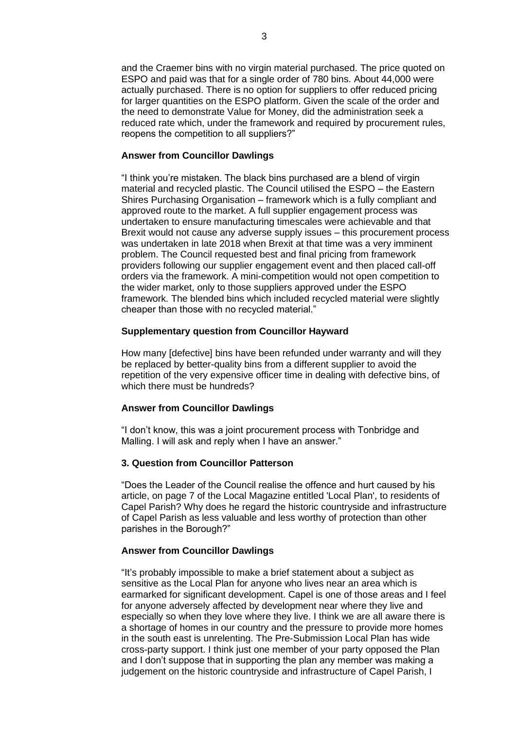and the Craemer bins with no virgin material purchased. The price quoted on ESPO and paid was that for a single order of 780 bins. About 44,000 were actually purchased. There is no option for suppliers to offer reduced pricing for larger quantities on the ESPO platform. Given the scale of the order and the need to demonstrate Value for Money, did the administration seek a reduced rate which, under the framework and required by procurement rules, reopens the competition to all suppliers?"

#### **Answer from Councillor Dawlings**

"I think you're mistaken. The black bins purchased are a blend of virgin material and recycled plastic. The Council utilised the ESPO – the Eastern Shires Purchasing Organisation – framework which is a fully compliant and approved route to the market. A full supplier engagement process was undertaken to ensure manufacturing timescales were achievable and that Brexit would not cause any adverse supply issues – this procurement process was undertaken in late 2018 when Brexit at that time was a very imminent problem. The Council requested best and final pricing from framework providers following our supplier engagement event and then placed call-off orders via the framework. A mini-competition would not open competition to the wider market, only to those suppliers approved under the ESPO framework. The blended bins which included recycled material were slightly cheaper than those with no recycled material."

#### **Supplementary question from Councillor Hayward**

How many [defective] bins have been refunded under warranty and will they be replaced by better-quality bins from a different supplier to avoid the repetition of the very expensive officer time in dealing with defective bins, of which there must be hundreds?

#### **Answer from Councillor Dawlings**

"I don't know, this was a joint procurement process with Tonbridge and Malling. I will ask and reply when I have an answer."

### **3. Question from Councillor Patterson**

"Does the Leader of the Council realise the offence and hurt caused by his article, on page 7 of the Local Magazine entitled 'Local Plan', to residents of Capel Parish? Why does he regard the historic countryside and infrastructure of Capel Parish as less valuable and less worthy of protection than other parishes in the Borough?"

#### **Answer from Councillor Dawlings**

"It's probably impossible to make a brief statement about a subject as sensitive as the Local Plan for anyone who lives near an area which is earmarked for significant development. Capel is one of those areas and I feel for anyone adversely affected by development near where they live and especially so when they love where they live. I think we are all aware there is a shortage of homes in our country and the pressure to provide more homes in the south east is unrelenting. The Pre-Submission Local Plan has wide cross-party support. I think just one member of your party opposed the Plan and I don't suppose that in supporting the plan any member was making a judgement on the historic countryside and infrastructure of Capel Parish, I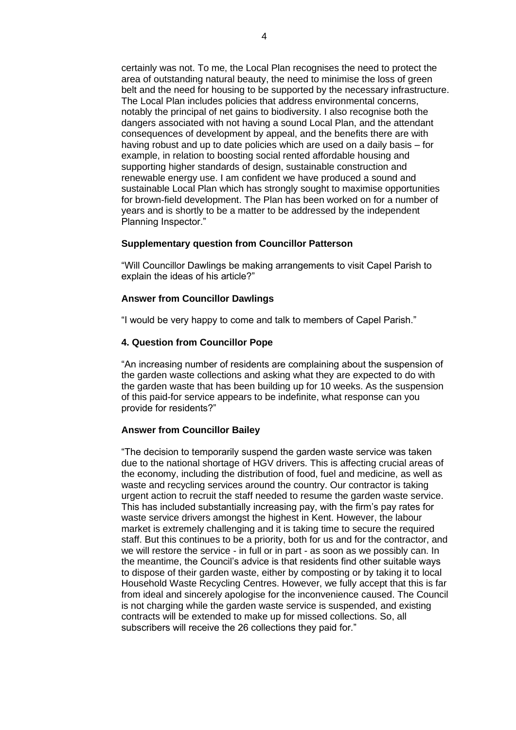certainly was not. To me, the Local Plan recognises the need to protect the area of outstanding natural beauty, the need to minimise the loss of green belt and the need for housing to be supported by the necessary infrastructure. The Local Plan includes policies that address environmental concerns, notably the principal of net gains to biodiversity. I also recognise both the dangers associated with not having a sound Local Plan, and the attendant consequences of development by appeal, and the benefits there are with having robust and up to date policies which are used on a daily basis – for example, in relation to boosting social rented affordable housing and supporting higher standards of design, sustainable construction and renewable energy use. I am confident we have produced a sound and sustainable Local Plan which has strongly sought to maximise opportunities for brown-field development. The Plan has been worked on for a number of years and is shortly to be a matter to be addressed by the independent Planning Inspector."

#### **Supplementary question from Councillor Patterson**

"Will Councillor Dawlings be making arrangements to visit Capel Parish to explain the ideas of his article?"

### **Answer from Councillor Dawlings**

"I would be very happy to come and talk to members of Capel Parish."

#### **4. Question from Councillor Pope**

"An increasing number of residents are complaining about the suspension of the garden waste collections and asking what they are expected to do with the garden waste that has been building up for 10 weeks. As the suspension of this paid-for service appears to be indefinite, what response can you provide for residents?"

#### **Answer from Councillor Bailey**

"The decision to temporarily suspend the garden waste service was taken due to the national shortage of HGV drivers. This is affecting crucial areas of the economy, including the distribution of food, fuel and medicine, as well as waste and recycling services around the country. Our contractor is taking urgent action to recruit the staff needed to resume the garden waste service. This has included substantially increasing pay, with the firm's pay rates for waste service drivers amongst the highest in Kent. However, the labour market is extremely challenging and it is taking time to secure the required staff. But this continues to be a priority, both for us and for the contractor, and we will restore the service - in full or in part - as soon as we possibly can. In the meantime, the Council's advice is that residents find other suitable ways to dispose of their garden waste, either by composting or by taking it to local Household Waste Recycling Centres. However, we fully accept that this is far from ideal and sincerely apologise for the inconvenience caused. The Council is not charging while the garden waste service is suspended, and existing contracts will be extended to make up for missed collections. So, all subscribers will receive the 26 collections they paid for."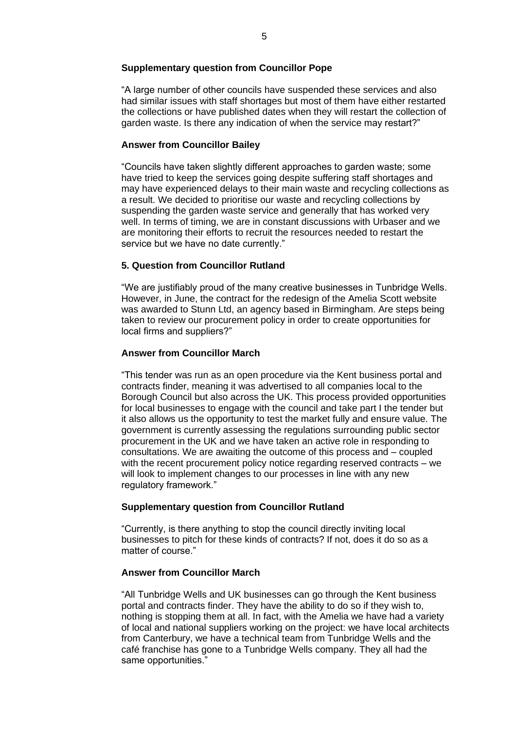### **Supplementary question from Councillor Pope**

"A large number of other councils have suspended these services and also had similar issues with staff shortages but most of them have either restarted the collections or have published dates when they will restart the collection of garden waste. Is there any indication of when the service may restart?"

## **Answer from Councillor Bailey**

"Councils have taken slightly different approaches to garden waste; some have tried to keep the services going despite suffering staff shortages and may have experienced delays to their main waste and recycling collections as a result. We decided to prioritise our waste and recycling collections by suspending the garden waste service and generally that has worked very well. In terms of timing, we are in constant discussions with Urbaser and we are monitoring their efforts to recruit the resources needed to restart the service but we have no date currently."

## **5. Question from Councillor Rutland**

"We are justifiably proud of the many creative businesses in Tunbridge Wells. However, in June, the contract for the redesign of the Amelia Scott website was awarded to Stunn Ltd, an agency based in Birmingham. Are steps being taken to review our procurement policy in order to create opportunities for local firms and suppliers?"

## **Answer from Councillor March**

"This tender was run as an open procedure via the Kent business portal and contracts finder, meaning it was advertised to all companies local to the Borough Council but also across the UK. This process provided opportunities for local businesses to engage with the council and take part I the tender but it also allows us the opportunity to test the market fully and ensure value. The government is currently assessing the regulations surrounding public sector procurement in the UK and we have taken an active role in responding to consultations. We are awaiting the outcome of this process and – coupled with the recent procurement policy notice regarding reserved contracts – we will look to implement changes to our processes in line with any new regulatory framework."

## **Supplementary question from Councillor Rutland**

"Currently, is there anything to stop the council directly inviting local businesses to pitch for these kinds of contracts? If not, does it do so as a matter of course."

## **Answer from Councillor March**

"All Tunbridge Wells and UK businesses can go through the Kent business portal and contracts finder. They have the ability to do so if they wish to, nothing is stopping them at all. In fact, with the Amelia we have had a variety of local and national suppliers working on the project: we have local architects from Canterbury, we have a technical team from Tunbridge Wells and the café franchise has gone to a Tunbridge Wells company. They all had the same opportunities."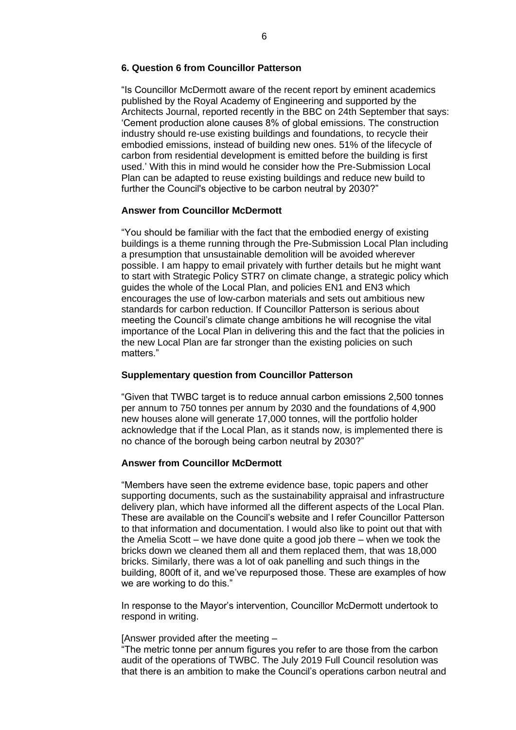#### **6. Question 6 from Councillor Patterson**

"Is Councillor McDermott aware of the recent report by eminent academics published by the Royal Academy of Engineering and supported by the Architects Journal, reported recently in the BBC on 24th September that says: 'Cement production alone causes 8% of global emissions. The construction industry should re-use existing buildings and foundations, to recycle their embodied emissions, instead of building new ones. 51% of the lifecycle of carbon from residential development is emitted before the building is first used.' With this in mind would he consider how the Pre-Submission Local Plan can be adapted to reuse existing buildings and reduce new build to further the Council's objective to be carbon neutral by 2030?"

#### **Answer from Councillor McDermott**

"You should be familiar with the fact that the embodied energy of existing buildings is a theme running through the Pre-Submission Local Plan including a presumption that unsustainable demolition will be avoided wherever possible. I am happy to email privately with further details but he might want to start with Strategic Policy STR7 on climate change, a strategic policy which guides the whole of the Local Plan, and policies EN1 and EN3 which encourages the use of low-carbon materials and sets out ambitious new standards for carbon reduction. If Councillor Patterson is serious about meeting the Council's climate change ambitions he will recognise the vital importance of the Local Plan in delivering this and the fact that the policies in the new Local Plan are far stronger than the existing policies on such matters."

#### **Supplementary question from Councillor Patterson**

"Given that TWBC target is to reduce annual carbon emissions 2,500 tonnes per annum to 750 tonnes per annum by 2030 and the foundations of 4,900 new houses alone will generate 17,000 tonnes, will the portfolio holder acknowledge that if the Local Plan, as it stands now, is implemented there is no chance of the borough being carbon neutral by 2030?"

#### **Answer from Councillor McDermott**

"Members have seen the extreme evidence base, topic papers and other supporting documents, such as the sustainability appraisal and infrastructure delivery plan, which have informed all the different aspects of the Local Plan. These are available on the Council's website and I refer Councillor Patterson to that information and documentation. I would also like to point out that with the Amelia Scott – we have done quite a good job there – when we took the bricks down we cleaned them all and them replaced them, that was 18,000 bricks. Similarly, there was a lot of oak panelling and such things in the building, 800ft of it, and we've repurposed those. These are examples of how we are working to do this."

In response to the Mayor's intervention, Councillor McDermott undertook to respond in writing.

#### [Answer provided after the meeting –

"The metric tonne per annum figures you refer to are those from the carbon audit of the operations of TWBC. The July 2019 Full Council resolution was that there is an ambition to make the Council's operations carbon neutral and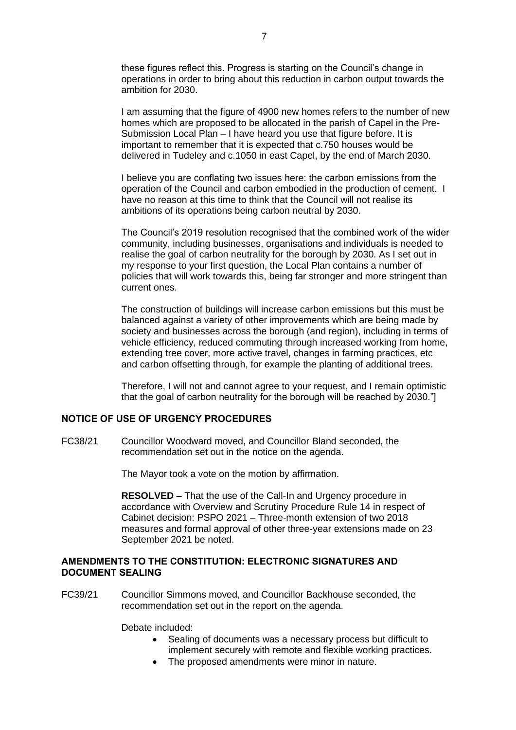these figures reflect this. Progress is starting on the Council's change in operations in order to bring about this reduction in carbon output towards the ambition for 2030.

I am assuming that the figure of 4900 new homes refers to the number of new homes which are proposed to be allocated in the parish of Capel in the Pre-Submission Local Plan – I have heard you use that figure before. It is important to remember that it is expected that c.750 houses would be delivered in Tudeley and c.1050 in east Capel, by the end of March 2030.

I believe you are conflating two issues here: the carbon emissions from the operation of the Council and carbon embodied in the production of cement. I have no reason at this time to think that the Council will not realise its ambitions of its operations being carbon neutral by 2030.

The Council's 2019 resolution recognised that the combined work of the wider community, including businesses, organisations and individuals is needed to realise the goal of carbon neutrality for the borough by 2030. As I set out in my response to your first question, the Local Plan contains a number of policies that will work towards this, being far stronger and more stringent than current ones.

The construction of buildings will increase carbon emissions but this must be balanced against a variety of other improvements which are being made by society and businesses across the borough (and region), including in terms of vehicle efficiency, reduced commuting through increased working from home, extending tree cover, more active travel, changes in farming practices, etc and carbon offsetting through, for example the planting of additional trees.

Therefore, I will not and cannot agree to your request, and I remain optimistic that the goal of carbon neutrality for the borough will be reached by 2030."]

### **NOTICE OF USE OF URGENCY PROCEDURES**

FC38/21 Councillor Woodward moved, and Councillor Bland seconded, the recommendation set out in the notice on the agenda.

The Mayor took a vote on the motion by affirmation.

**RESOLVED –** That the use of the Call-In and Urgency procedure in accordance with Overview and Scrutiny Procedure Rule 14 in respect of Cabinet decision: PSPO 2021 – Three-month extension of two 2018 measures and formal approval of other three-year extensions made on 23 September 2021 be noted.

### **AMENDMENTS TO THE CONSTITUTION: ELECTRONIC SIGNATURES AND DOCUMENT SEALING**

FC39/21 Councillor Simmons moved, and Councillor Backhouse seconded, the recommendation set out in the report on the agenda.

Debate included:

- Sealing of documents was a necessary process but difficult to implement securely with remote and flexible working practices.
- The proposed amendments were minor in nature.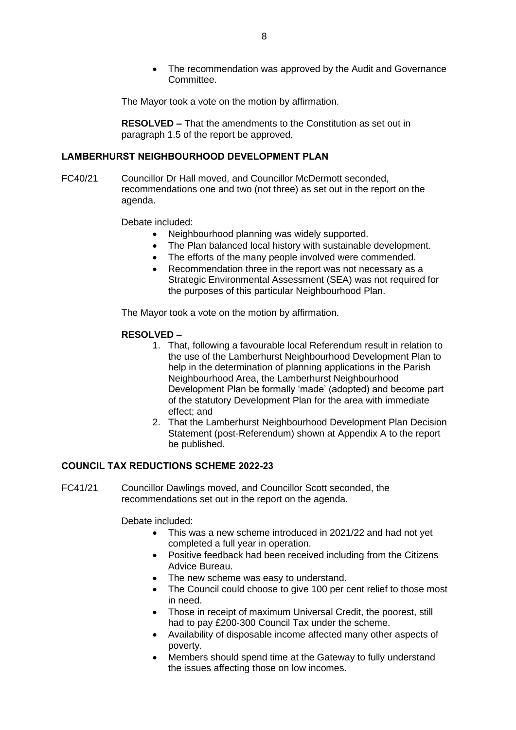• The recommendation was approved by the Audit and Governance Committee.

The Mayor took a vote on the motion by affirmation.

**RESOLVED –** That the amendments to the Constitution as set out in paragraph 1.5 of the report be approved.

### **LAMBERHURST NEIGHBOURHOOD DEVELOPMENT PLAN**

FC40/21 Councillor Dr Hall moved, and Councillor McDermott seconded, recommendations one and two (not three) as set out in the report on the agenda.

Debate included:

- Neighbourhood planning was widely supported.
- The Plan balanced local history with sustainable development.
- The efforts of the many people involved were commended.
- Recommendation three in the report was not necessary as a Strategic Environmental Assessment (SEA) was not required for the purposes of this particular Neighbourhood Plan.

The Mayor took a vote on the motion by affirmation.

#### **RESOLVED –**

- 1. That, following a favourable local Referendum result in relation to the use of the Lamberhurst Neighbourhood Development Plan to help in the determination of planning applications in the Parish Neighbourhood Area, the Lamberhurst Neighbourhood Development Plan be formally 'made' (adopted) and become part of the statutory Development Plan for the area with immediate effect; and
- 2. That the Lamberhurst Neighbourhood Development Plan Decision Statement (post-Referendum) shown at Appendix A to the report be published.

# **COUNCIL TAX REDUCTIONS SCHEME 2022-23**

FC41/21 Councillor Dawlings moved, and Councillor Scott seconded, the recommendations set out in the report on the agenda.

Debate included:

- This was a new scheme introduced in 2021/22 and had not yet completed a full year in operation.
- Positive feedback had been received including from the Citizens Advice Bureau.
- The new scheme was easy to understand.
- The Council could choose to give 100 per cent relief to those most in need.
- Those in receipt of maximum Universal Credit, the poorest, still had to pay £200-300 Council Tax under the scheme.
- Availability of disposable income affected many other aspects of poverty.
- Members should spend time at the Gateway to fully understand the issues affecting those on low incomes.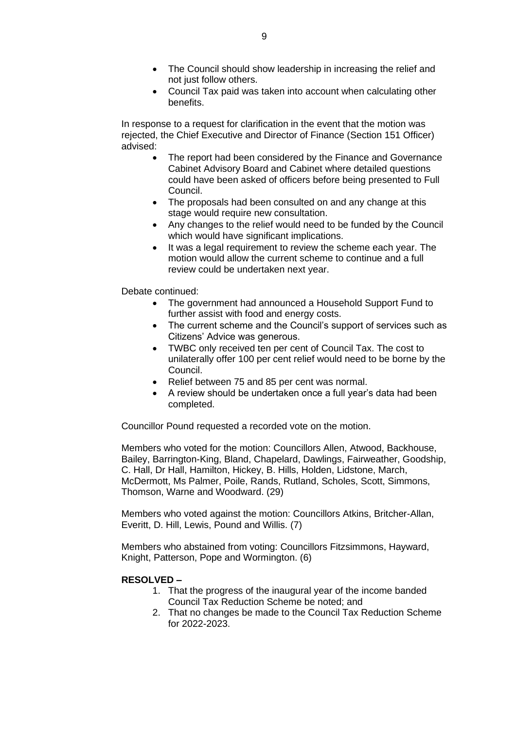- The Council should show leadership in increasing the relief and not just follow others.
- Council Tax paid was taken into account when calculating other benefits.

In response to a request for clarification in the event that the motion was rejected, the Chief Executive and Director of Finance (Section 151 Officer) advised:

- The report had been considered by the Finance and Governance Cabinet Advisory Board and Cabinet where detailed questions could have been asked of officers before being presented to Full Council.
- The proposals had been consulted on and any change at this stage would require new consultation.
- Any changes to the relief would need to be funded by the Council which would have significant implications.
- It was a legal requirement to review the scheme each year. The motion would allow the current scheme to continue and a full review could be undertaken next year.

Debate continued:

- The government had announced a Household Support Fund to further assist with food and energy costs.
- The current scheme and the Council's support of services such as Citizens' Advice was generous.
- TWBC only received ten per cent of Council Tax. The cost to unilaterally offer 100 per cent relief would need to be borne by the Council.
- Relief between 75 and 85 per cent was normal.
- A review should be undertaken once a full year's data had been completed.

Councillor Pound requested a recorded vote on the motion.

Members who voted for the motion: Councillors Allen, Atwood, Backhouse, Bailey, Barrington-King, Bland, Chapelard, Dawlings, Fairweather, Goodship, C. Hall, Dr Hall, Hamilton, Hickey, B. Hills, Holden, Lidstone, March, McDermott, Ms Palmer, Poile, Rands, Rutland, Scholes, Scott, Simmons, Thomson, Warne and Woodward. (29)

Members who voted against the motion: Councillors Atkins, Britcher-Allan, Everitt, D. Hill, Lewis, Pound and Willis. (7)

Members who abstained from voting: Councillors Fitzsimmons, Hayward, Knight, Patterson, Pope and Wormington. (6)

#### **RESOLVED –**

- 1. That the progress of the inaugural year of the income banded Council Tax Reduction Scheme be noted; and
- 2. That no changes be made to the Council Tax Reduction Scheme for 2022-2023.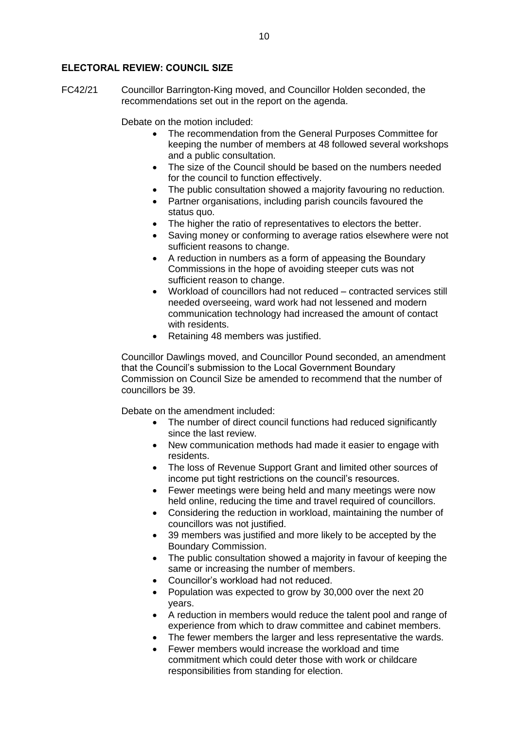### **ELECTORAL REVIEW: COUNCIL SIZE**

FC42/21 Councillor Barrington-King moved, and Councillor Holden seconded, the recommendations set out in the report on the agenda.

Debate on the motion included:

- The recommendation from the General Purposes Committee for keeping the number of members at 48 followed several workshops and a public consultation.
- The size of the Council should be based on the numbers needed for the council to function effectively.
- The public consultation showed a majority favouring no reduction.
- Partner organisations, including parish councils favoured the status quo.
- The higher the ratio of representatives to electors the better.
- Saving money or conforming to average ratios elsewhere were not sufficient reasons to change.
- A reduction in numbers as a form of appeasing the Boundary Commissions in the hope of avoiding steeper cuts was not sufficient reason to change.
- Workload of councillors had not reduced contracted services still needed overseeing, ward work had not lessened and modern communication technology had increased the amount of contact with residents.
- Retaining 48 members was justified.

Councillor Dawlings moved, and Councillor Pound seconded, an amendment that the Council's submission to the Local Government Boundary Commission on Council Size be amended to recommend that the number of councillors be 39.

Debate on the amendment included:

- The number of direct council functions had reduced significantly since the last review.
- New communication methods had made it easier to engage with residents.
- The loss of Revenue Support Grant and limited other sources of income put tight restrictions on the council's resources.
- Fewer meetings were being held and many meetings were now held online, reducing the time and travel required of councillors.
- Considering the reduction in workload, maintaining the number of councillors was not justified.
- 39 members was justified and more likely to be accepted by the Boundary Commission.
- The public consultation showed a majority in favour of keeping the same or increasing the number of members.
- Councillor's workload had not reduced.
- Population was expected to grow by 30,000 over the next 20 years.
- A reduction in members would reduce the talent pool and range of experience from which to draw committee and cabinet members.
- The fewer members the larger and less representative the wards.
- Fewer members would increase the workload and time commitment which could deter those with work or childcare responsibilities from standing for election.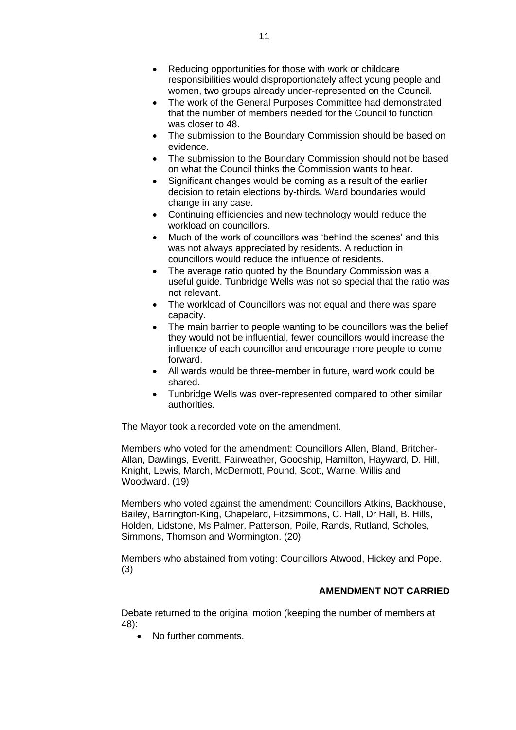- Reducing opportunities for those with work or childcare responsibilities would disproportionately affect young people and women, two groups already under-represented on the Council.
- The work of the General Purposes Committee had demonstrated that the number of members needed for the Council to function was closer to 48.
- The submission to the Boundary Commission should be based on evidence.
- The submission to the Boundary Commission should not be based on what the Council thinks the Commission wants to hear.
- Significant changes would be coming as a result of the earlier decision to retain elections by-thirds. Ward boundaries would change in any case.
- Continuing efficiencies and new technology would reduce the workload on councillors.
- Much of the work of councillors was 'behind the scenes' and this was not always appreciated by residents. A reduction in councillors would reduce the influence of residents.
- The average ratio quoted by the Boundary Commission was a useful guide. Tunbridge Wells was not so special that the ratio was not relevant.
- The workload of Councillors was not equal and there was spare capacity.
- The main barrier to people wanting to be councillors was the belief they would not be influential, fewer councillors would increase the influence of each councillor and encourage more people to come forward.
- All wards would be three-member in future, ward work could be shared.
- Tunbridge Wells was over-represented compared to other similar authorities.

The Mayor took a recorded vote on the amendment.

Members who voted for the amendment: Councillors Allen, Bland, Britcher-Allan, Dawlings, Everitt, Fairweather, Goodship, Hamilton, Hayward, D. Hill, Knight, Lewis, March, McDermott, Pound, Scott, Warne, Willis and Woodward. (19)

Members who voted against the amendment: Councillors Atkins, Backhouse, Bailey, Barrington-King, Chapelard, Fitzsimmons, C. Hall, Dr Hall, B. Hills, Holden, Lidstone, Ms Palmer, Patterson, Poile, Rands, Rutland, Scholes, Simmons, Thomson and Wormington. (20)

Members who abstained from voting: Councillors Atwood, Hickey and Pope. (3)

## **AMENDMENT NOT CARRIED**

Debate returned to the original motion (keeping the number of members at 48):

• No further comments.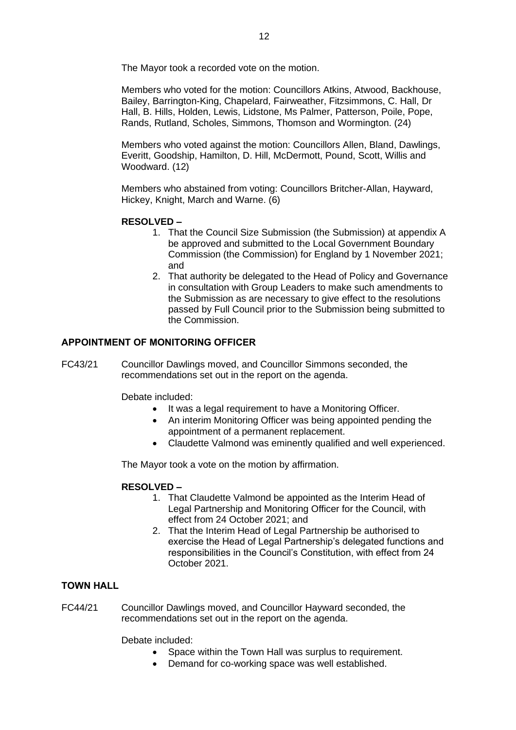The Mayor took a recorded vote on the motion.

Members who voted for the motion: Councillors Atkins, Atwood, Backhouse, Bailey, Barrington-King, Chapelard, Fairweather, Fitzsimmons, C. Hall, Dr Hall, B. Hills, Holden, Lewis, Lidstone, Ms Palmer, Patterson, Poile, Pope, Rands, Rutland, Scholes, Simmons, Thomson and Wormington. (24)

Members who voted against the motion: Councillors Allen, Bland, Dawlings, Everitt, Goodship, Hamilton, D. Hill, McDermott, Pound, Scott, Willis and Woodward. (12)

Members who abstained from voting: Councillors Britcher-Allan, Hayward, Hickey, Knight, March and Warne. (6)

## **RESOLVED –**

- 1. That the Council Size Submission (the Submission) at appendix A be approved and submitted to the Local Government Boundary Commission (the Commission) for England by 1 November 2021; and
- 2. That authority be delegated to the Head of Policy and Governance in consultation with Group Leaders to make such amendments to the Submission as are necessary to give effect to the resolutions passed by Full Council prior to the Submission being submitted to the Commission.

# **APPOINTMENT OF MONITORING OFFICER**

FC43/21 Councillor Dawlings moved, and Councillor Simmons seconded, the recommendations set out in the report on the agenda.

Debate included:

- It was a legal requirement to have a Monitoring Officer.
- An interim Monitoring Officer was being appointed pending the appointment of a permanent replacement.
- Claudette Valmond was eminently qualified and well experienced.

The Mayor took a vote on the motion by affirmation.

## **RESOLVED –**

- 1. That Claudette Valmond be appointed as the Interim Head of Legal Partnership and Monitoring Officer for the Council, with effect from 24 October 2021; and
- 2. That the Interim Head of Legal Partnership be authorised to exercise the Head of Legal Partnership's delegated functions and responsibilities in the Council's Constitution, with effect from 24 October 2021.

## **TOWN HALL**

FC44/21 Councillor Dawlings moved, and Councillor Hayward seconded, the recommendations set out in the report on the agenda.

Debate included:

- Space within the Town Hall was surplus to requirement.
- Demand for co-working space was well established.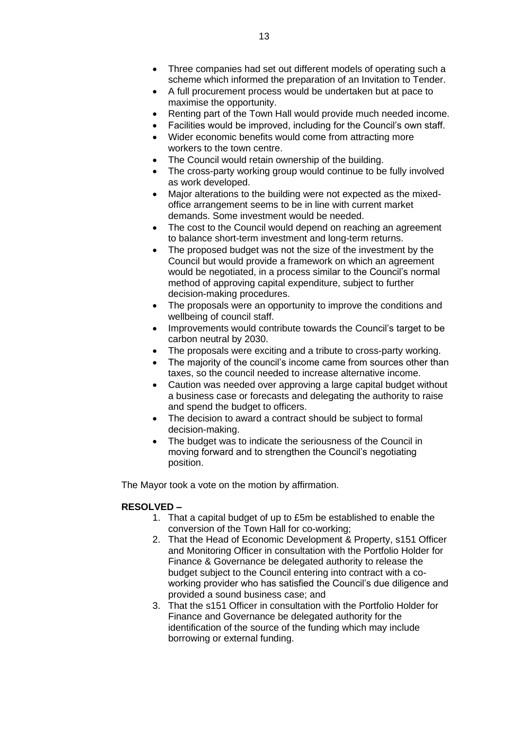- Three companies had set out different models of operating such a scheme which informed the preparation of an Invitation to Tender.
- A full procurement process would be undertaken but at pace to maximise the opportunity.
- Renting part of the Town Hall would provide much needed income.
- Facilities would be improved, including for the Council's own staff.
- Wider economic benefits would come from attracting more workers to the town centre.
- The Council would retain ownership of the building.
- The cross-party working group would continue to be fully involved as work developed.
- Major alterations to the building were not expected as the mixedoffice arrangement seems to be in line with current market demands. Some investment would be needed.
- The cost to the Council would depend on reaching an agreement to balance short-term investment and long-term returns.
- The proposed budget was not the size of the investment by the Council but would provide a framework on which an agreement would be negotiated, in a process similar to the Council's normal method of approving capital expenditure, subject to further decision-making procedures.
- The proposals were an opportunity to improve the conditions and wellbeing of council staff.
- Improvements would contribute towards the Council's target to be carbon neutral by 2030.
- The proposals were exciting and a tribute to cross-party working.
- The majority of the council's income came from sources other than taxes, so the council needed to increase alternative income.
- Caution was needed over approving a large capital budget without a business case or forecasts and delegating the authority to raise and spend the budget to officers.
- The decision to award a contract should be subject to formal decision-making.
- The budget was to indicate the seriousness of the Council in moving forward and to strengthen the Council's negotiating position.

The Mayor took a vote on the motion by affirmation.

## **RESOLVED –**

- 1. That a capital budget of up to £5m be established to enable the conversion of the Town Hall for co-working;
- 2. That the Head of Economic Development & Property, s151 Officer and Monitoring Officer in consultation with the Portfolio Holder for Finance & Governance be delegated authority to release the budget subject to the Council entering into contract with a coworking provider who has satisfied the Council's due diligence and provided a sound business case; and
- 3. That the s151 Officer in consultation with the Portfolio Holder for Finance and Governance be delegated authority for the identification of the source of the funding which may include borrowing or external funding.